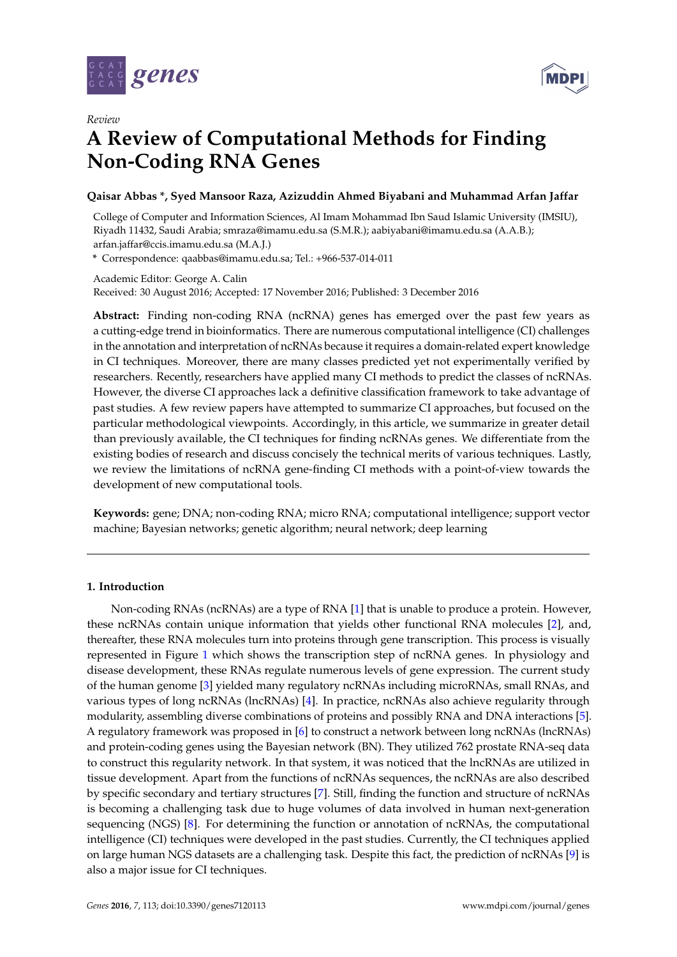



## *Review* **A Review of Computational Methods for Finding Non-Coding RNA Genes**

## **Qaisar Abbas \*, Syed Mansoor Raza, Azizuddin Ahmed Biyabani and Muhammad Arfan Jaffar**

College of Computer and Information Sciences, Al Imam Mohammad Ibn Saud Islamic University (IMSIU), Riyadh 11432, Saudi Arabia; smraza@imamu.edu.sa (S.M.R.); aabiyabani@imamu.edu.sa (A.A.B.); arfan.jaffar@ccis.imamu.edu.sa (M.A.J.)

**\*** Correspondence: qaabbas@imamu.edu.sa; Tel.: +966-537-014-011

Academic Editor: George A. Calin Received: 30 August 2016; Accepted: 17 November 2016; Published: 3 December 2016

**Abstract:** Finding non-coding RNA (ncRNA) genes has emerged over the past few years as a cutting-edge trend in bioinformatics. There are numerous computational intelligence (CI) challenges in the annotation and interpretation of ncRNAs because it requires a domain-related expert knowledge in CI techniques. Moreover, there are many classes predicted yet not experimentally verified by researchers. Recently, researchers have applied many CI methods to predict the classes of ncRNAs. However, the diverse CI approaches lack a definitive classification framework to take advantage of past studies. A few review papers have attempted to summarize CI approaches, but focused on the particular methodological viewpoints. Accordingly, in this article, we summarize in greater detail than previously available, the CI techniques for finding ncRNAs genes. We differentiate from the existing bodies of research and discuss concisely the technical merits of various techniques. Lastly, we review the limitations of ncRNA gene-finding CI methods with a point-of-view towards the development of new computational tools.

**Keywords:** gene; DNA; non-coding RNA; micro RNA; computational intelligence; support vector machine; Bayesian networks; genetic algorithm; neural network; deep learning

## **1. Introduction**

Non-coding RNAs (ncRNAs) are a type of RNA [\[1\]](#page-10-0) that is unable to produce a protein. However, these ncRNAs contain unique information that yields other functional RNA molecules [\[2\]](#page-10-1), and, thereafter, these RNA molecules turn into proteins through gene transcription. This process is visually represented in Figure [1](#page-1-0) which shows the transcription step of ncRNA genes. In physiology and disease development, these RNAs regulate numerous levels of gene expression. The current study of the human genome [\[3\]](#page-10-2) yielded many regulatory ncRNAs including microRNAs, small RNAs, and various types of long ncRNAs (lncRNAs) [\[4\]](#page-10-3). In practice, ncRNAs also achieve regularity through modularity, assembling diverse combinations of proteins and possibly RNA and DNA interactions [\[5\]](#page-10-4). A regulatory framework was proposed in [\[6\]](#page-10-5) to construct a network between long ncRNAs (lncRNAs) and protein-coding genes using the Bayesian network (BN). They utilized 762 prostate RNA-seq data to construct this regularity network. In that system, it was noticed that the lncRNAs are utilized in tissue development. Apart from the functions of ncRNAs sequences, the ncRNAs are also described by specific secondary and tertiary structures [\[7\]](#page-10-6). Still, finding the function and structure of ncRNAs is becoming a challenging task due to huge volumes of data involved in human next-generation sequencing (NGS) [\[8\]](#page-10-7). For determining the function or annotation of ncRNAs, the computational intelligence (CI) techniques were developed in the past studies. Currently, the CI techniques applied on large human NGS datasets are a challenging task. Despite this fact, the prediction of ncRNAs [\[9\]](#page-10-8) is also a major issue for CI techniques.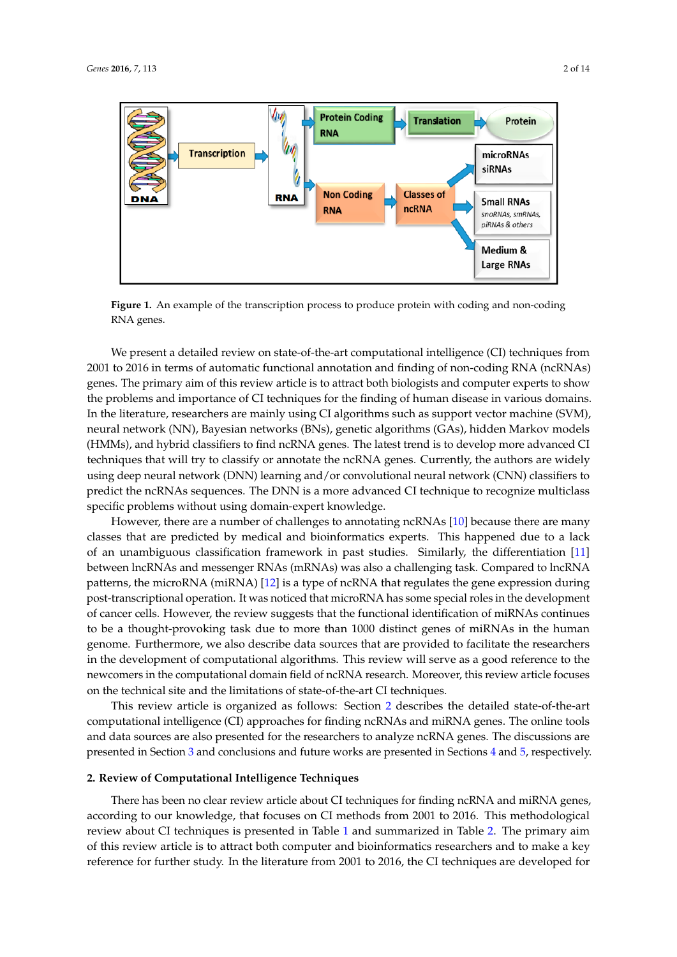<span id="page-1-0"></span>

**Figure 1.** An example of the transcription process to produce protein with coding and non-coding **Figure** RNA genes. RNA genes.

We present a detailed review on state‐of‐the‐art computational intelligence (CI) techniques from We present a detailed review on state-of-the-art computational intelligence (CI) techniques from 2001 to 2016 in terms of automatic functional annotation and finding of non‐coding RNA (ncRNAs) 2001 to 2016 in terms of automatic functional annotation and finding of non-coding RNA (ncRNAs) genes. The primary aim of this review article is to attract both biologists and computer experts to genes. The primary aim of this review article is to attract both biologists and computer experts to show the problems and importance of CI techniques for the finding of human disease in various domains. In the literature, researchers are mainly using CI algorithms such as support vector machine  $(\mathrm{SVM})$ , (SVM), neural network (NN), Bayesian networks (BNs), genetic algorithms (GAs), hidden Markov neural network (NN), Bayesian networks (BNs), genetic algorithms (GAs), hidden Markov models models (HMMs), and hybrid classifiers to find ncRNA genes. The latest trend is to develop more (HMMs), and hybrid classifiers to find ncRNA genes. The latest trend is to develop more advanced CI techniques that will try to classify or annotate the ncRNA genes. Currently, the authors are widely using deep neural network (DNN) learning and/or convolutional neural network (CNN) classifiers to predict the ncRNAs sequences. The DNN is a more advanced CI technique to recognize multiclass specific problems without using domain-expert knowledge.

However, there are a number of challenges to annotating ncRNAs [10] because there are many However, there are a number of challenges to annotating ncRNAs [\[10\]](#page-10-9) because there are many classes that are predicted by medical and bioinformatics experts. This happened due to a lack of an unambiguous classification framework in past studies. Similarly, the differentiation [\[11\]](#page-10-10) between lncRNAs and messenger RNAs (mRNAs) was also a challenging task. Compared to lncRNA patterns, the microRNA (miRNA) [\[12\]](#page-10-11) is a type of ncRNA that regulates the gene expression during transcriptional operation. It was noticed that microRNA has some special roles in the development post-transcriptional operation. It was noticed that microRNA has some special roles in the development of cancer cells. However, the review suggests that the functional identification of miRNAs continues of cancer cells. However, the review suggests that the functional identification of miRNAs continues to be a thought‐provoking task due to more than 1000 distinct genes of miRNAs in the human to be a thought-provoking task due to more than 1000 distinct genes of miRNAs in the human genome. Furthermore, we also describe data sources that are provided to facilitate the researchers the development of computational algorithms. This review will serve as a good reference to the in the development of computational algorithms. This review will serve as a good reference to the newcomers in the computational domain field of ncRNA research. Moreover, this review article newcomers in the computational domain field of ncRNA research. Moreover, this review article focuses focuses on the technical site and the limitations of state‐of‐the‐art CI techniques. on the technical site and the limitations of state-of-the-art CI techniques.

This review article is organized as follows: Section 2 describes the detailed state‐of‐the‐art This review article is organized as follows: Section [2](#page-1-1) describes the detailed state-of-the-art computational intelligence (CI) approaches for finding ncRNAs and miRNA genes. The online tools computational intelligence (CI) approaches for finding ncRNAs and miRNA genes. The online tools and data sources are also presented for the researchers to analyze ncRNA genes. The discussions are and data sources are also presented for the researchers to analyze ncRNA genes. The discussions are presented in Secti[on](#page-6-0) 3 and conclusions and future works are presented in Sect[io](#page-9-0)ns 4 and 5, presented in Section 3 and conclusions and future works are presented in Sections [4](#page-7-0) and 5, respectively.

# <span id="page-1-1"></span>2. Review of Computational Intelligence Techniques

There has been no clear review article about CI techniques for finding ncRNA and miRNA genes, according to our knowledge, that focuses on CI methods from 2001 to 2016. This methodological review about CI techniques is presented in Table [1](#page-4-0) and summarized in Table [2.](#page-5-0) The primary aim of this review article is to attract both computer and bioinformatics researchers and to make a key reference for further study. In the literature from 2001 to 2016, the CI techniques are developed for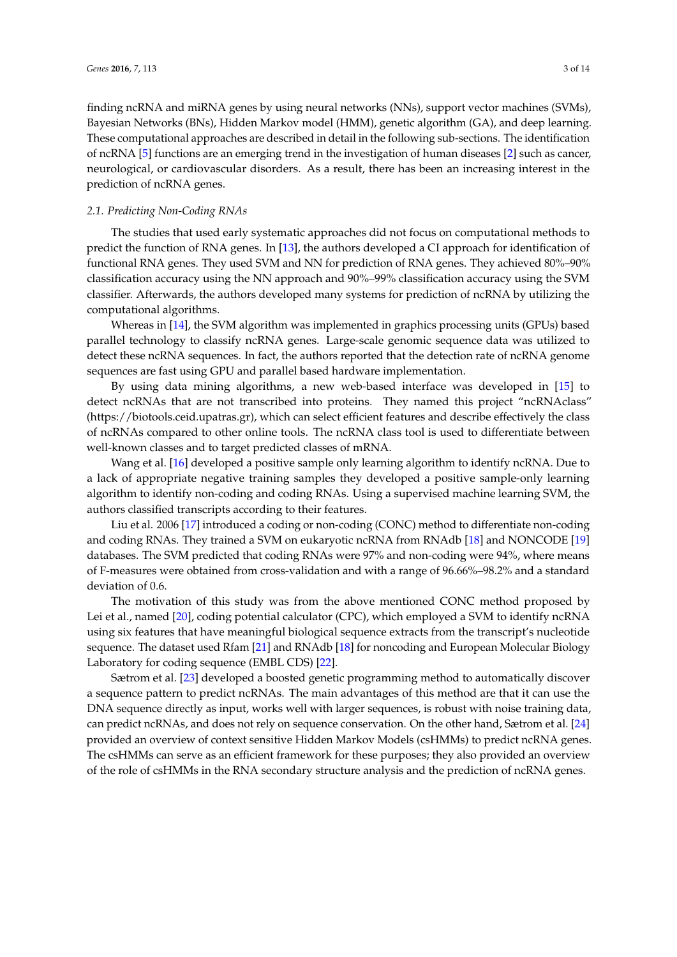finding ncRNA and miRNA genes by using neural networks (NNs), support vector machines (SVMs), Bayesian Networks (BNs), Hidden Markov model (HMM), genetic algorithm (GA), and deep learning. These computational approaches are described in detail in the following sub-sections. The identification of ncRNA [\[5\]](#page-10-4) functions are an emerging trend in the investigation of human diseases [\[2\]](#page-10-1) such as cancer, neurological, or cardiovascular disorders. As a result, there has been an increasing interest in the prediction of ncRNA genes.

### *2.1. Predicting Non-Coding RNAs*

The studies that used early systematic approaches did not focus on computational methods to predict the function of RNA genes. In [\[13\]](#page-10-12), the authors developed a CI approach for identification of functional RNA genes. They used SVM and NN for prediction of RNA genes. They achieved 80%–90% classification accuracy using the NN approach and 90%–99% classification accuracy using the SVM classifier. Afterwards, the authors developed many systems for prediction of ncRNA by utilizing the computational algorithms.

Whereas in [\[14\]](#page-11-0), the SVM algorithm was implemented in graphics processing units (GPUs) based parallel technology to classify ncRNA genes. Large-scale genomic sequence data was utilized to detect these ncRNA sequences. In fact, the authors reported that the detection rate of ncRNA genome sequences are fast using GPU and parallel based hardware implementation.

By using data mining algorithms, a new web-based interface was developed in [\[15\]](#page-11-1) to detect ncRNAs that are not transcribed into proteins. They named this project "ncRNAclass" [\(https://biotools.ceid.upatras.gr\)](https://biotools.ceid.upatras.gr), which can select efficient features and describe effectively the class of ncRNAs compared to other online tools. The ncRNA class tool is used to differentiate between well-known classes and to target predicted classes of mRNA.

Wang et al. [\[16\]](#page-11-2) developed a positive sample only learning algorithm to identify ncRNA. Due to a lack of appropriate negative training samples they developed a positive sample-only learning algorithm to identify non-coding and coding RNAs. Using a supervised machine learning SVM, the authors classified transcripts according to their features.

Liu et al. 2006 [\[17\]](#page-11-3) introduced a coding or non-coding (CONC) method to differentiate non-coding and coding RNAs. They trained a SVM on eukaryotic ncRNA from RNAdb [\[18\]](#page-11-4) and NONCODE [\[19\]](#page-11-5) databases. The SVM predicted that coding RNAs were 97% and non-coding were 94%, where means of F-measures were obtained from cross-validation and with a range of 96.66%–98.2% and a standard deviation of 0.6.

The motivation of this study was from the above mentioned CONC method proposed by Lei et al., named [\[20\]](#page-11-6), coding potential calculator (CPC), which employed a SVM to identify ncRNA using six features that have meaningful biological sequence extracts from the transcript's nucleotide sequence. The dataset used Rfam [\[21\]](#page-11-7) and RNAdb [\[18\]](#page-11-4) for noncoding and European Molecular Biology Laboratory for coding sequence (EMBL CDS) [\[22\]](#page-11-8).

Sætrom et al. [\[23\]](#page-11-9) developed a boosted genetic programming method to automatically discover a sequence pattern to predict ncRNAs. The main advantages of this method are that it can use the DNA sequence directly as input, works well with larger sequences, is robust with noise training data, can predict ncRNAs, and does not rely on sequence conservation. On the other hand, Sætrom et al. [\[24\]](#page-11-10) provided an overview of context sensitive Hidden Markov Models (csHMMs) to predict ncRNA genes. The csHMMs can serve as an efficient framework for these purposes; they also provided an overview of the role of csHMMs in the RNA secondary structure analysis and the prediction of ncRNA genes.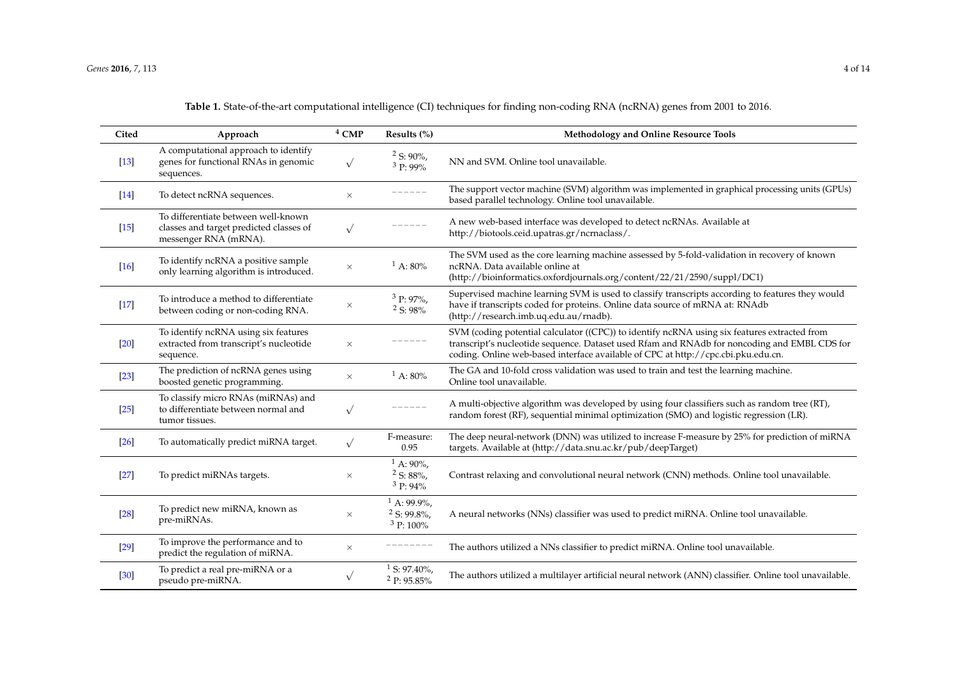**Table 1.** State-of-the-art computational intelligence (CI) techniques for finding non-coding RNA (ncRNA) genes from 2001 to 2016.

| Cited  | Approach                                                                                                | $4$ CMP    | Results $(\% )$                                        | Methodology and Online Resource Tools                                                                                                                                                                                                                                             |
|--------|---------------------------------------------------------------------------------------------------------|------------|--------------------------------------------------------|-----------------------------------------------------------------------------------------------------------------------------------------------------------------------------------------------------------------------------------------------------------------------------------|
| $[13]$ | A computational approach to identify<br>genes for functional RNAs in genomic<br>sequences.              | $\sqrt{}$  | $2 S: 90\%$<br><sup>3</sup> P: 99%                     | NN and SVM. Online tool unavailable.                                                                                                                                                                                                                                              |
| $[14]$ | To detect ncRNA sequences.                                                                              | $\times$   | -------                                                | The support vector machine (SVM) algorithm was implemented in graphical processing units (GPUs)<br>based parallel technology. Online tool unavailable.                                                                                                                            |
| $[15]$ | To differentiate between well-known<br>classes and target predicted classes of<br>messenger RNA (mRNA). | $\sqrt{}$  | $\frac{1}{2}$                                          | A new web-based interface was developed to detect ncRNAs. Available at<br>http://biotools.ceid.upatras.gr/ncrnaclass/.                                                                                                                                                            |
| $[16]$ | To identify ncRNA a positive sample<br>only learning algorithm is introduced.                           | $\times$   | $1\,$ A: 80%                                           | The SVM used as the core learning machine assessed by 5-fold-validation in recovery of known<br>ncRNA. Data available online at<br>(http://bioinformatics.oxfordjournals.org/content/22/21/2590/suppl/DC1)                                                                        |
| $[17]$ | To introduce a method to differentiate<br>between coding or non-coding RNA.                             | $\times$   | $3$ P: 97%,<br>$2 S: 98\%$                             | Supervised machine learning SVM is used to classify transcripts according to features they would<br>have if transcripts coded for proteins. Online data source of mRNA at: RNAdb<br>(http://research.imb.uq.edu.au/rnadb).                                                        |
| $[20]$ | To identify ncRNA using six features<br>extracted from transcript's nucleotide<br>sequence.             | $\times$   |                                                        | SVM (coding potential calculator ((CPC)) to identify ncRNA using six features extracted from<br>transcript's nucleotide sequence. Dataset used Rfam and RNAdb for noncoding and EMBL CDS for<br>coding. Online web-based interface available of CPC at http://cpc.cbi.pku.edu.cn. |
| $[23]$ | The prediction of ncRNA genes using<br>boosted genetic programming.                                     | $\times$   | $1 A: 80\%$                                            | The GA and 10-fold cross validation was used to train and test the learning machine.<br>Online tool unavailable.                                                                                                                                                                  |
| $[25]$ | To classify micro RNAs (miRNAs) and<br>to differentiate between normal and<br>tumor tissues.            | $\sqrt{}$  |                                                        | A multi-objective algorithm was developed by using four classifiers such as random tree (RT),<br>random forest (RF), sequential minimal optimization (SMO) and logistic regression (LR).                                                                                          |
| $[26]$ | To automatically predict miRNA target.                                                                  | $\sqrt{}$  | F-measure:<br>0.95                                     | The deep neural-network (DNN) was utilized to increase F-measure by 25% for prediction of miRNA<br>targets. Available at (http://data.snu.ac.kr/pub/deepTarget)                                                                                                                   |
| $[27]$ | To predict miRNAs targets.                                                                              | $\times$   | $1 A: 90\%$ ,<br>$2$ S: 88%,<br>$3 P: 94\%$            | Contrast relaxing and convolutional neural network (CNN) methods. Online tool unavailable.                                                                                                                                                                                        |
| $[28]$ | To predict new miRNA, known as<br>pre-miRNAs.                                                           | $\times$   | $1$ A: 99.9%,<br>$2$ S: 99.8%,<br><sup>3</sup> P: 100% | A neural networks (NNs) classifier was used to predict miRNA. Online tool unavailable.                                                                                                                                                                                            |
| $[29]$ | To improve the performance and to<br>predict the regulation of miRNA.                                   | $\times$   |                                                        | The authors utilized a NNs classifier to predict miRNA. Online tool unavailable.                                                                                                                                                                                                  |
| $[30]$ | To predict a real pre-miRNA or a<br>pseudo pre-miRNA.                                                   | $\sqrt{ }$ | $1$ S: 97.40%,<br><sup>2</sup> P: 95.85%               | The authors utilized a multilayer artificial neural network (ANN) classifier. Online tool unavailable.                                                                                                                                                                            |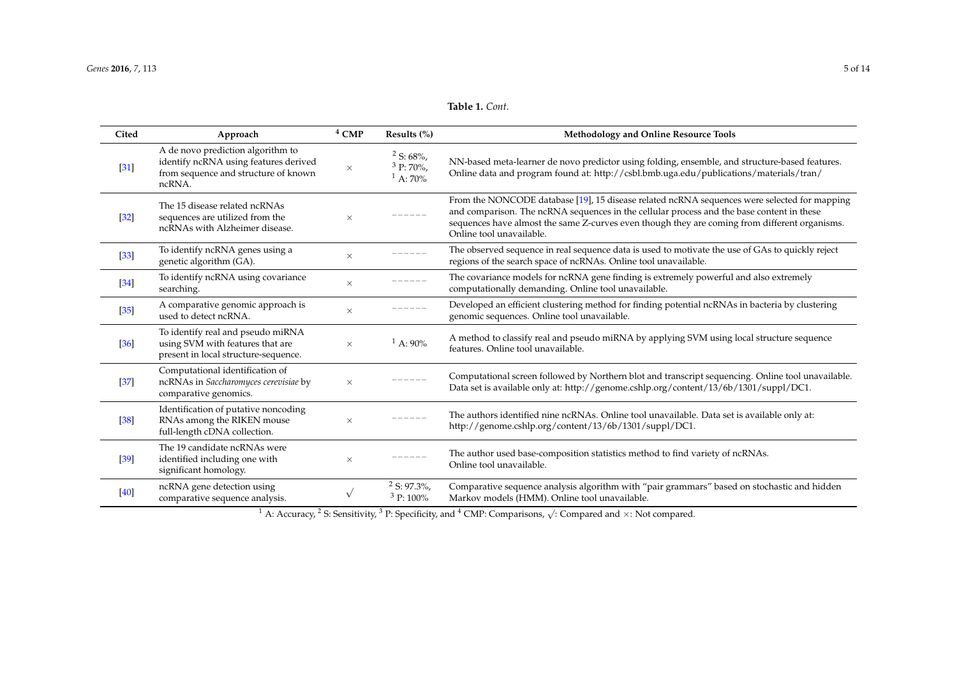## **Table 1.** *Cont.*

| Cited  | Approach                                                                                                                     | $4$ CMP    | Results $(\% )$                        | Methodology and Online Resource Tools                                                                                                                                                                                                                                                                                  |
|--------|------------------------------------------------------------------------------------------------------------------------------|------------|----------------------------------------|------------------------------------------------------------------------------------------------------------------------------------------------------------------------------------------------------------------------------------------------------------------------------------------------------------------------|
| $[31]$ | A de novo prediction algorithm to<br>identify ncRNA using features derived<br>from sequence and structure of known<br>ncRNA. | $\times$   | $2 S: 68\%,$<br>$3 P: 70\%$<br>1 A:70% | NN-based meta-learner de novo predictor using folding, ensemble, and structure-based features.<br>Online data and program found at: http://csbl.bmb.uga.edu/publications/materials/tran/                                                                                                                               |
| $[32]$ | The 15 disease related ncRNAs<br>sequences are utilized from the<br>ncRNAs with Alzheimer disease.                           | $\times$   |                                        | From the NONCODE database [19], 15 disease related ncRNA sequences were selected for mapping<br>and comparison. The ncRNA sequences in the cellular process and the base content in these<br>sequences have almost the same Z-curves even though they are coming from different organisms.<br>Online tool unavailable. |
| $[33]$ | To identify ncRNA genes using a<br>genetic algorithm (GA).                                                                   | $\times$   |                                        | The observed sequence in real sequence data is used to motivate the use of GAs to quickly reject<br>regions of the search space of ncRNAs. Online tool unavailable.                                                                                                                                                    |
| $[34]$ | To identify ncRNA using covariance<br>searching.                                                                             | $\times$   | ------                                 | The covariance models for ncRNA gene finding is extremely powerful and also extremely<br>computationally demanding. Online tool unavailable.                                                                                                                                                                           |
| $[35]$ | A comparative genomic approach is<br>used to detect ncRNA.                                                                   | $\times$   | ------                                 | Developed an efficient clustering method for finding potential ncRNAs in bacteria by clustering<br>genomic sequences. Online tool unavailable.                                                                                                                                                                         |
| $[36]$ | To identify real and pseudo miRNA<br>using SVM with features that are<br>present in local structure-sequence.                | $\times$   | $1\,$ A: 90%                           | A method to classify real and pseudo miRNA by applying SVM using local structure sequence<br>features. Online tool unavailable.                                                                                                                                                                                        |
| $[37]$ | Computational identification of<br>ncRNAs in Saccharomyces cerevisiae by<br>comparative genomics.                            | $\times$   |                                        | Computational screen followed by Northern blot and transcript sequencing. Online tool unavailable.<br>Data set is available only at: http://genome.cshlp.org/content/13/6b/1301/suppl/DC1.                                                                                                                             |
| $[38]$ | Identification of putative noncoding<br>RNAs among the RIKEN mouse<br>full-length cDNA collection.                           | $\times$   |                                        | The authors identified nine ncRNAs. Online tool unavailable. Data set is available only at:<br>http://genome.cshlp.org/content/13/6b/1301/suppl/DC1.                                                                                                                                                                   |
| $[39]$ | The 19 candidate ncRNAs were<br>identified including one with<br>significant homology.                                       | $\times$   |                                        | The author used base-composition statistics method to find variety of ncRNAs.<br>Online tool unavailable.                                                                                                                                                                                                              |
| $[40]$ | ncRNA gene detection using<br>comparative sequence analysis.                                                                 | $\sqrt{ }$ | $2$ S: 97.3%,<br>$3$ P: 100%           | Comparative sequence analysis algorithm with "pair grammars" based on stochastic and hidden<br>Markov models (HMM). Online tool unavailable.                                                                                                                                                                           |

<span id="page-4-0"></span>1 A: Accuracy, <sup>2</sup> S: Sensitivity, <sup>3</sup> P: Specificity, and <sup>4</sup> CMP: Comparisons, √: Compared and ×: Not compared.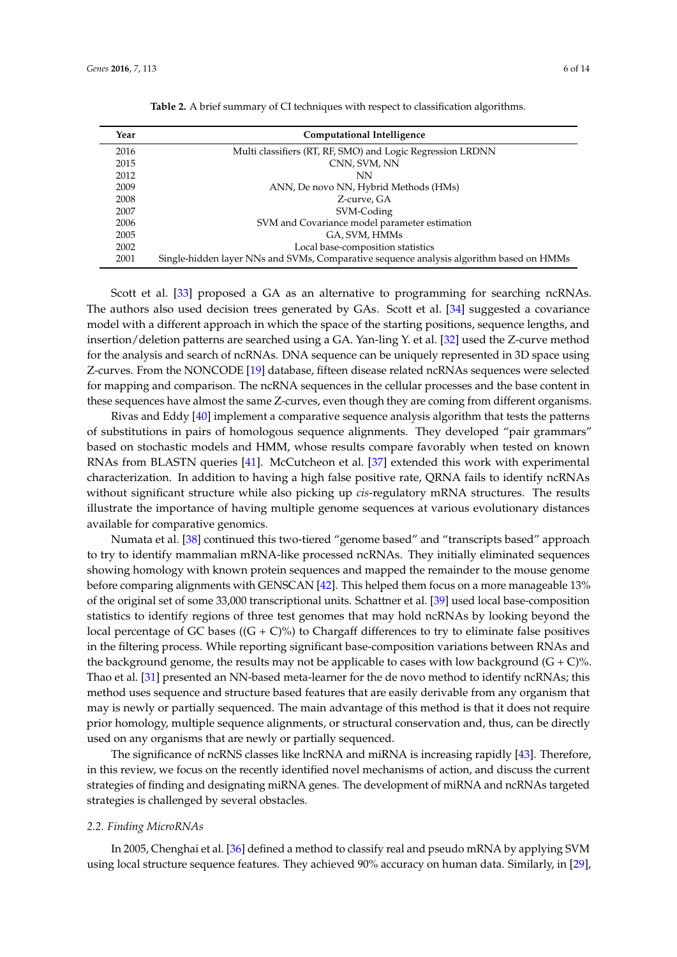<span id="page-5-0"></span>

| Year | Computational Intelligence                                                              |
|------|-----------------------------------------------------------------------------------------|
| 2016 | Multi classifiers (RT, RF, SMO) and Logic Regression LRDNN                              |
| 2015 | CNN, SVM, NN                                                                            |
| 2012 | NN                                                                                      |
| 2009 | ANN, De novo NN, Hybrid Methods (HMs)                                                   |
| 2008 | Z-curve, GA                                                                             |
| 2007 | SVM-Coding                                                                              |
| 2006 | SVM and Covariance model parameter estimation                                           |
| 2005 | GA, SVM, HMMs                                                                           |
| 2002 | Local base-composition statistics                                                       |
| 2001 | Single-hidden layer NNs and SVMs, Comparative sequence analysis algorithm based on HMMs |

| <b>Table 2.</b> A brief summary of CI techniques with respect to classification algorithms. |  |  |  |
|---------------------------------------------------------------------------------------------|--|--|--|
|---------------------------------------------------------------------------------------------|--|--|--|

Scott et al. [\[33\]](#page-11-27) proposed a GA as an alternative to programming for searching ncRNAs. The authors also used decision trees generated by GAs. Scott et al. [\[34\]](#page-11-28) suggested a covariance model with a different approach in which the space of the starting positions, sequence lengths, and insertion/deletion patterns are searched using a GA. Yan-ling Y. et al. [\[32\]](#page-11-29) used the Z-curve method for the analysis and search of ncRNAs. DNA sequence can be uniquely represented in 3D space using Z-curves. From the NONCODE [\[19\]](#page-11-5) database, fifteen disease related ncRNAs sequences were selected for mapping and comparison. The ncRNA sequences in the cellular processes and the base content in these sequences have almost the same Z-curves, even though they are coming from different organisms.

Rivas and Eddy [\[40\]](#page-12-6) implement a comparative sequence analysis algorithm that tests the patterns of substitutions in pairs of homologous sequence alignments. They developed "pair grammars" based on stochastic models and HMM, whose results compare favorably when tested on known RNAs from BLASTN queries [\[41\]](#page-12-7). McCutcheon et al. [\[37\]](#page-12-8) extended this work with experimental characterization. In addition to having a high false positive rate, QRNA fails to identify ncRNAs without significant structure while also picking up *cis*-regulatory mRNA structures. The results illustrate the importance of having multiple genome sequences at various evolutionary distances available for comparative genomics.

Numata et al. [\[38\]](#page-12-9) continued this two-tiered "genome based" and "transcripts based" approach to try to identify mammalian mRNA-like processed ncRNAs. They initially eliminated sequences showing homology with known protein sequences and mapped the remainder to the mouse genome before comparing alignments with GENSCAN [\[42\]](#page-12-10). This helped them focus on a more manageable 13% of the original set of some 33,000 transcriptional units. Schattner et al. [\[39\]](#page-12-11) used local base-composition statistics to identify regions of three test genomes that may hold ncRNAs by looking beyond the local percentage of GC bases ( $(G + C)$ %) to Chargaff differences to try to eliminate false positives in the filtering process. While reporting significant base-composition variations between RNAs and the background genome, the results may not be applicable to cases with low background  $(G + C)$ %. Thao et al. [\[31\]](#page-11-30) presented an NN-based meta-learner for the de novo method to identify ncRNAs; this method uses sequence and structure based features that are easily derivable from any organism that may is newly or partially sequenced. The main advantage of this method is that it does not require prior homology, multiple sequence alignments, or structural conservation and, thus, can be directly used on any organisms that are newly or partially sequenced.

The significance of ncRNS classes like lncRNA and miRNA is increasing rapidly [\[43\]](#page-12-12). Therefore, in this review, we focus on the recently identified novel mechanisms of action, and discuss the current strategies of finding and designating miRNA genes. The development of miRNA and ncRNAs targeted strategies is challenged by several obstacles.

#### *2.2. Finding MicroRNAs*

In 2005, Chenghai et al. [\[36\]](#page-12-13) defined a method to classify real and pseudo mRNA by applying SVM using local structure sequence features. They achieved 90% accuracy on human data. Similarly, in [\[29\]](#page-11-31),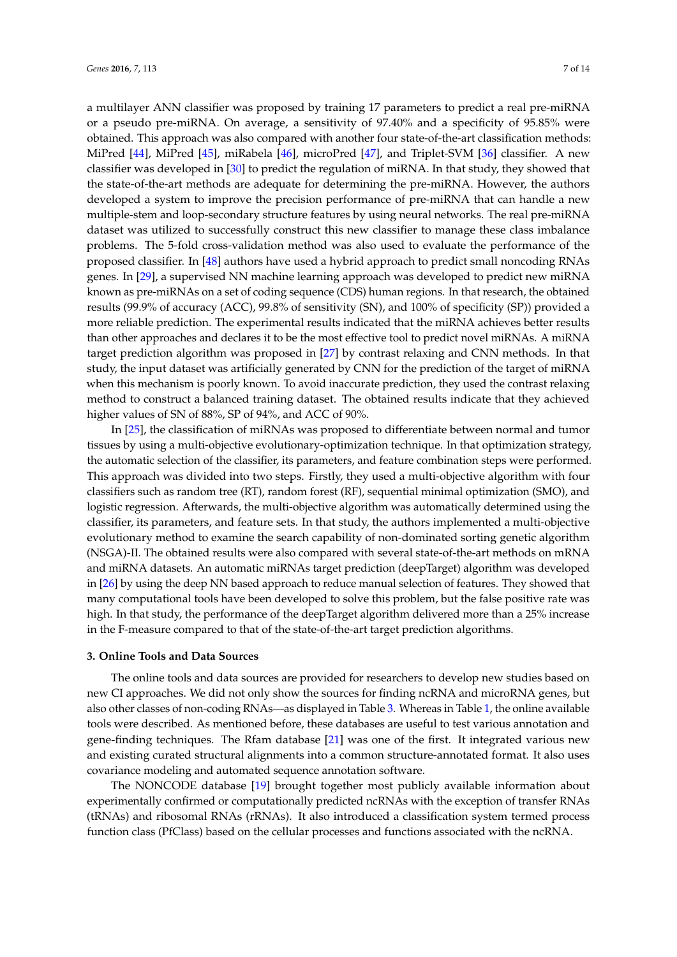a multilayer ANN classifier was proposed by training 17 parameters to predict a real pre-miRNA or a pseudo pre-miRNA. On average, a sensitivity of 97.40% and a specificity of 95.85% were obtained. This approach was also compared with another four state-of-the-art classification methods: MiPred [\[44\]](#page-12-14), MiPred [\[45\]](#page-12-15), miRabela [\[46\]](#page-12-16), microPred [\[47\]](#page-12-17), and Triplet-SVM [\[36\]](#page-12-13) classifier. A new classifier was developed in [\[30\]](#page-11-32) to predict the regulation of miRNA. In that study, they showed that the state-of-the-art methods are adequate for determining the pre-miRNA. However, the authors developed a system to improve the precision performance of pre-miRNA that can handle a new multiple-stem and loop-secondary structure features by using neural networks. The real pre-miRNA dataset was utilized to successfully construct this new classifier to manage these class imbalance problems. The 5-fold cross-validation method was also used to evaluate the performance of the proposed classifier. In [\[48\]](#page-12-18) authors have used a hybrid approach to predict small noncoding RNAs genes. In [\[29\]](#page-11-31), a supervised NN machine learning approach was developed to predict new miRNA known as pre-miRNAs on a set of coding sequence (CDS) human regions. In that research, the obtained results (99.9% of accuracy (ACC), 99.8% of sensitivity (SN), and 100% of specificity (SP)) provided a more reliable prediction. The experimental results indicated that the miRNA achieves better results than other approaches and declares it to be the most effective tool to predict novel miRNAs. A miRNA target prediction algorithm was proposed in [\[27\]](#page-11-33) by contrast relaxing and CNN methods. In that study, the input dataset was artificially generated by CNN for the prediction of the target of miRNA when this mechanism is poorly known. To avoid inaccurate prediction, they used the contrast relaxing method to construct a balanced training dataset. The obtained results indicate that they achieved higher values of SN of 88%, SP of 94%, and ACC of 90%.

In [\[25\]](#page-11-25), the classification of miRNAs was proposed to differentiate between normal and tumor tissues by using a multi-objective evolutionary-optimization technique. In that optimization strategy, the automatic selection of the classifier, its parameters, and feature combination steps were performed. This approach was divided into two steps. Firstly, they used a multi-objective algorithm with four classifiers such as random tree (RT), random forest (RF), sequential minimal optimization (SMO), and logistic regression. Afterwards, the multi-objective algorithm was automatically determined using the classifier, its parameters, and feature sets. In that study, the authors implemented a multi-objective evolutionary method to examine the search capability of non-dominated sorting genetic algorithm (NSGA)-II. The obtained results were also compared with several state-of-the-art methods on mRNA and miRNA datasets. An automatic miRNAs target prediction (deepTarget) algorithm was developed in [\[26\]](#page-11-26) by using the deep NN based approach to reduce manual selection of features. They showed that many computational tools have been developed to solve this problem, but the false positive rate was high. In that study, the performance of the deepTarget algorithm delivered more than a 25% increase in the F-measure compared to that of the state-of-the-art target prediction algorithms.

#### <span id="page-6-0"></span>**3. Online Tools and Data Sources**

The online tools and data sources are provided for researchers to develop new studies based on new CI approaches. We did not only show the sources for finding ncRNA and microRNA genes, but also other classes of non-coding RNAs—as displayed in Table [3.](#page-7-1) Whereas in Table [1,](#page-4-0) the online available tools were described. As mentioned before, these databases are useful to test various annotation and gene-finding techniques. The Rfam database [\[21\]](#page-11-7) was one of the first. It integrated various new and existing curated structural alignments into a common structure-annotated format. It also uses covariance modeling and automated sequence annotation software.

The NONCODE database [\[19\]](#page-11-5) brought together most publicly available information about experimentally confirmed or computationally predicted ncRNAs with the exception of transfer RNAs (tRNAs) and ribosomal RNAs (rRNAs). It also introduced a classification system termed process function class (PfClass) based on the cellular processes and functions associated with the ncRNA.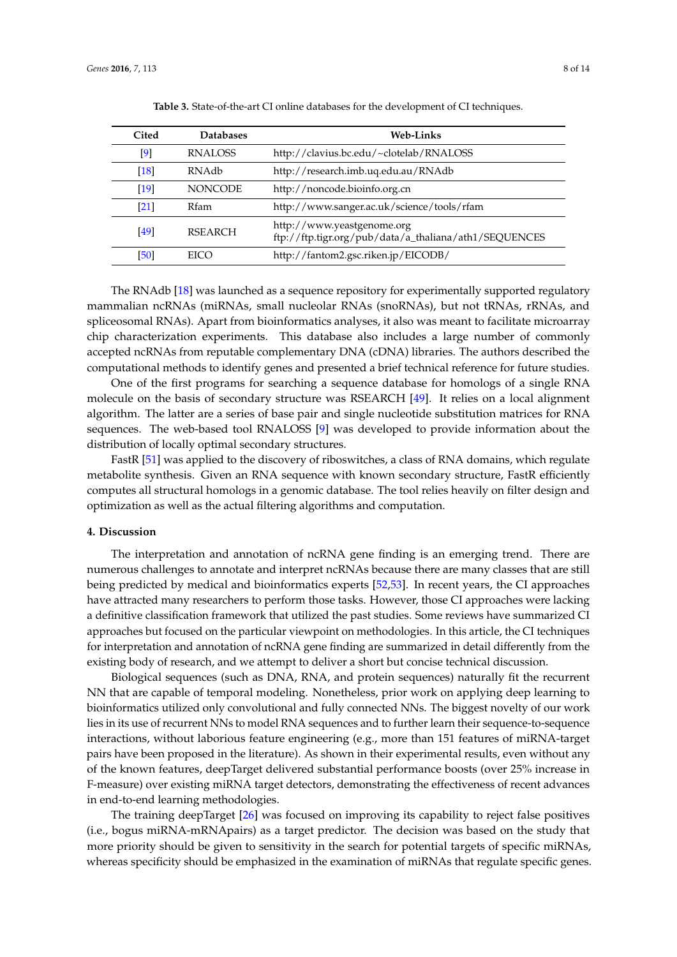<span id="page-7-1"></span>

| Cited              | <b>Databases</b> | Web-Links                                                                           |
|--------------------|------------------|-------------------------------------------------------------------------------------|
| [9]                | RNALOSS          | http://clavius.bc.edu/~clotelab/RNALOSS                                             |
| $\lceil 18 \rceil$ | RNAdb            | http://research.imb.uq.edu.au/RNAdb                                                 |
| [19]               | <b>NONCODE</b>   | http://noncode.bioinfo.org.cn                                                       |
| [21]               | Rfam             | http://www.sanger.ac.uk/science/tools/rfam                                          |
| [49]               | <b>RSEARCH</b>   | http://www.yeastgenome.org<br>ftp://ftp.tigr.org/pub/data/a_thaliana/ath1/SEQUENCES |
| [50]               | EICO             | http://fantom2.gsc.riken.jp/EICODB/                                                 |

**Table 3.** State-of-the-art CI online databases for the development of CI techniques.

The RNAdb [\[18\]](#page-11-4) was launched as a sequence repository for experimentally supported regulatory mammalian ncRNAs (miRNAs, small nucleolar RNAs (snoRNAs), but not tRNAs, rRNAs, and spliceosomal RNAs). Apart from bioinformatics analyses, it also was meant to facilitate microarray chip characterization experiments. This database also includes a large number of commonly accepted ncRNAs from reputable complementary DNA (cDNA) libraries. The authors described the computational methods to identify genes and presented a brief technical reference for future studies.

One of the first programs for searching a sequence database for homologs of a single RNA molecule on the basis of secondary structure was RSEARCH [\[49\]](#page-12-19). It relies on a local alignment algorithm. The latter are a series of base pair and single nucleotide substitution matrices for RNA sequences. The web-based tool RNALOSS [\[9\]](#page-10-8) was developed to provide information about the distribution of locally optimal secondary structures.

FastR [\[51\]](#page-12-21) was applied to the discovery of riboswitches, a class of RNA domains, which regulate metabolite synthesis. Given an RNA sequence with known secondary structure, FastR efficiently computes all structural homologs in a genomic database. The tool relies heavily on filter design and optimization as well as the actual filtering algorithms and computation.

#### <span id="page-7-0"></span>**4. Discussion**

The interpretation and annotation of ncRNA gene finding is an emerging trend. There are numerous challenges to annotate and interpret ncRNAs because there are many classes that are still being predicted by medical and bioinformatics experts [\[52,](#page-12-22)[53\]](#page-12-23). In recent years, the CI approaches have attracted many researchers to perform those tasks. However, those CI approaches were lacking a definitive classification framework that utilized the past studies. Some reviews have summarized CI approaches but focused on the particular viewpoint on methodologies. In this article, the CI techniques for interpretation and annotation of ncRNA gene finding are summarized in detail differently from the existing body of research, and we attempt to deliver a short but concise technical discussion.

Biological sequences (such as DNA, RNA, and protein sequences) naturally fit the recurrent NN that are capable of temporal modeling. Nonetheless, prior work on applying deep learning to bioinformatics utilized only convolutional and fully connected NNs. The biggest novelty of our work lies in its use of recurrent NNs to model RNA sequences and to further learn their sequence-to-sequence interactions, without laborious feature engineering (e.g., more than 151 features of miRNA-target pairs have been proposed in the literature). As shown in their experimental results, even without any of the known features, deepTarget delivered substantial performance boosts (over 25% increase in F-measure) over existing miRNA target detectors, demonstrating the effectiveness of recent advances in end-to-end learning methodologies.

The training deepTarget [\[26\]](#page-11-26) was focused on improving its capability to reject false positives (i.e., bogus miRNA-mRNApairs) as a target predictor. The decision was based on the study that more priority should be given to sensitivity in the search for potential targets of specific miRNAs, whereas specificity should be emphasized in the examination of miRNAs that regulate specific genes.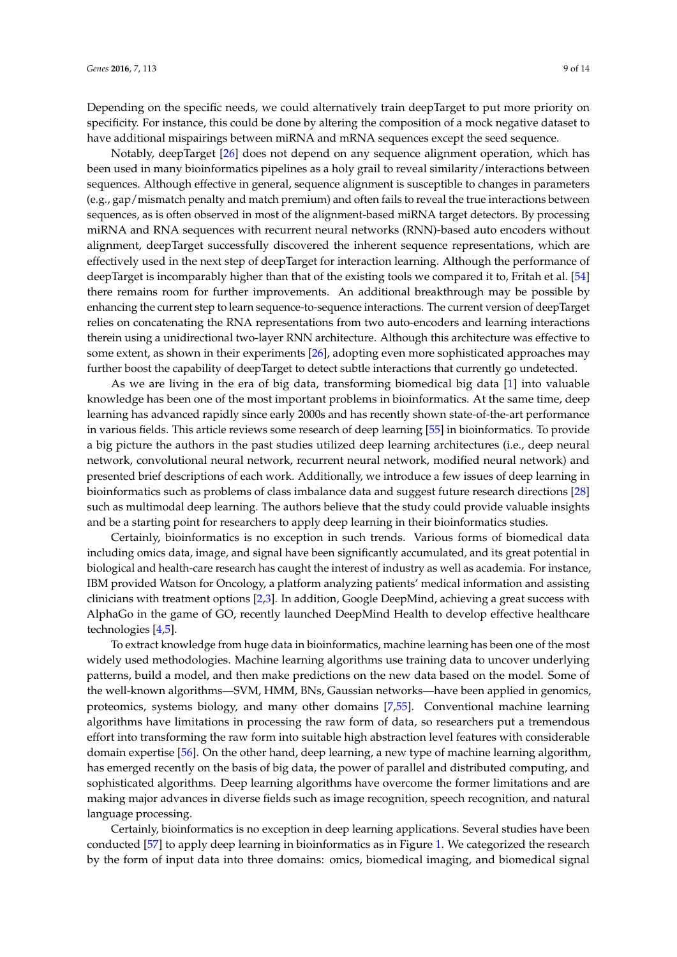Depending on the specific needs, we could alternatively train deepTarget to put more priority on specificity. For instance, this could be done by altering the composition of a mock negative dataset to have additional mispairings between miRNA and mRNA sequences except the seed sequence.

Notably, deepTarget [\[26\]](#page-11-26) does not depend on any sequence alignment operation, which has been used in many bioinformatics pipelines as a holy grail to reveal similarity/interactions between sequences. Although effective in general, sequence alignment is susceptible to changes in parameters (e.g., gap/mismatch penalty and match premium) and often fails to reveal the true interactions between sequences, as is often observed in most of the alignment-based miRNA target detectors. By processing miRNA and RNA sequences with recurrent neural networks (RNN)-based auto encoders without alignment, deepTarget successfully discovered the inherent sequence representations, which are effectively used in the next step of deepTarget for interaction learning. Although the performance of deepTarget is incomparably higher than that of the existing tools we compared it to, Fritah et al. [\[54\]](#page-12-24) there remains room for further improvements. An additional breakthrough may be possible by enhancing the current step to learn sequence-to-sequence interactions. The current version of deepTarget relies on concatenating the RNA representations from two auto-encoders and learning interactions therein using a unidirectional two-layer RNN architecture. Although this architecture was effective to some extent, as shown in their experiments [\[26\]](#page-11-26), adopting even more sophisticated approaches may further boost the capability of deepTarget to detect subtle interactions that currently go undetected.

As we are living in the era of big data, transforming biomedical big data [\[1\]](#page-10-0) into valuable knowledge has been one of the most important problems in bioinformatics. At the same time, deep learning has advanced rapidly since early 2000s and has recently shown state-of-the-art performance in various fields. This article reviews some research of deep learning [\[55\]](#page-12-25) in bioinformatics. To provide a big picture the authors in the past studies utilized deep learning architectures (i.e., deep neural network, convolutional neural network, recurrent neural network, modified neural network) and presented brief descriptions of each work. Additionally, we introduce a few issues of deep learning in bioinformatics such as problems of class imbalance data and suggest future research directions [\[28\]](#page-11-34) such as multimodal deep learning. The authors believe that the study could provide valuable insights and be a starting point for researchers to apply deep learning in their bioinformatics studies.

Certainly, bioinformatics is no exception in such trends. Various forms of biomedical data including omics data, image, and signal have been significantly accumulated, and its great potential in biological and health-care research has caught the interest of industry as well as academia. For instance, IBM provided Watson for Oncology, a platform analyzing patients' medical information and assisting clinicians with treatment options [\[2](#page-10-1)[,3\]](#page-10-2). In addition, Google DeepMind, achieving a great success with AlphaGo in the game of GO, recently launched DeepMind Health to develop effective healthcare technologies [\[4,](#page-10-3)[5\]](#page-10-4).

To extract knowledge from huge data in bioinformatics, machine learning has been one of the most widely used methodologies. Machine learning algorithms use training data to uncover underlying patterns, build a model, and then make predictions on the new data based on the model. Some of the well-known algorithms—SVM, HMM, BNs, Gaussian networks—have been applied in genomics, proteomics, systems biology, and many other domains [\[7](#page-10-6)[,55\]](#page-12-25). Conventional machine learning algorithms have limitations in processing the raw form of data, so researchers put a tremendous effort into transforming the raw form into suitable high abstraction level features with considerable domain expertise [\[56\]](#page-12-26). On the other hand, deep learning, a new type of machine learning algorithm, has emerged recently on the basis of big data, the power of parallel and distributed computing, and sophisticated algorithms. Deep learning algorithms have overcome the former limitations and are making major advances in diverse fields such as image recognition, speech recognition, and natural language processing.

Certainly, bioinformatics is no exception in deep learning applications. Several studies have been conducted [\[57\]](#page-12-27) to apply deep learning in bioinformatics as in Figure [1.](#page-1-0) We categorized the research by the form of input data into three domains: omics, biomedical imaging, and biomedical signal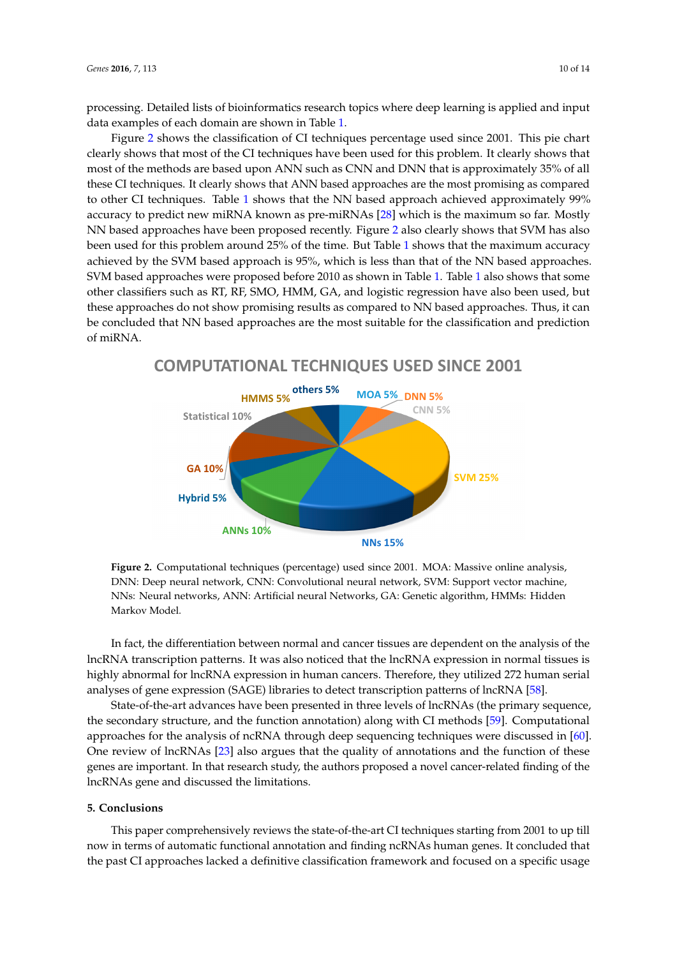processing. Detailed lists of bioinformatics research topics where deep learning is applied and input data examples of each domain are shown in Table [1.](#page-4-0)

Figure [2](#page-9-1) shows the classification of CI techniques percentage used since 2001. This pie chart clearly shows that most of the CI techniques have been used for this problem. It clearly shows that most of the methods are based upon ANN such as CNN and DNN that is approximately 35% of all these CI techniques. It clearly shows that ANN based approaches are the most promising as compared to other CI techniques. Table [1](#page-4-0) shows that the NN based approach achieved approximately 99% accuracy to predict new miRNA known as pre-miRNAs [\[28\]](#page-11-34) which is the maximum so far. Mostly NN based approaches have been proposed recently. Figure [2](#page-9-1) also clearly shows that SVM has also been used for this problem around 25% of the time. But Table [1](#page-4-0) shows that the maximum accuracy achieved by the SVM based approach is 95%, which is less than that of the NN based approaches. SVM based approaches were proposed before 2010 as shown in Table [1.](#page-4-0) Table [1](#page-4-0) also shows that some other classifiers such as RT, RF, SMO, HMM, GA, and logistic regression have also been used, but these approaches do not show promising results as compared to NN based approaches. Thus, it can be concluded that NN based approaches are the most suitable for the classification and prediction of miRNA.

<span id="page-9-1"></span>

DNN: Deep neural network, CNN: Convolutional neural network, SVM: Support vector machine, NNs: Neural networks, ANN: Artificial neural Networks, GA: Genetic algorithm, HMMs: Hidden  $M$ arkov Model.  $\blacksquare$ **Figure 2.** Computational techniques (percentage) used since 2001. MOA: Massive online analysis,

IncRNA transcription patterns. It was also noticed that the lncRNA expression in normal tissues is highly abnormal for lncRNA expression in human cancers. Therefore, they utilized 272 human serial analyses of gene expression (SAGE) libraries to detect transcription patterns of lncRNA [\[58\]](#page-13-0). In fact, the differentiation between normal and cancer tissues are dependent on the analysis of the

State-of-the-art advances have been presented in three levels of lncRNAs (the primary sequence, the secondary structure, and the function annotation) along with CI methods [\[59\]](#page-13-1). Computational approaches for the analysis of ncRNA through deep sequencing techniques were discussed in [\[60\]](#page-13-2). One review of lncRNAs  $[23]$  also argues that the quality of annotations and the function of these genes are important. In that research study, the authors proposed a novel cancer-related finding of the portant. In the authors proposed a novel cancer cancer and discussed the limitations.  $\frac{1}{\sqrt{2}}$ 

#### <span id="page-9-0"></span>**5. Conclusions**

**5. Conclusions** now in terms of automatic functional annotation and finding ncRNAs human genes. It concluded that the past CI approaches lacked a definitive classification framework and focused on a specific usage This paper comprehensively reviews the state-of-the-art CI techniques starting from 2001 to up till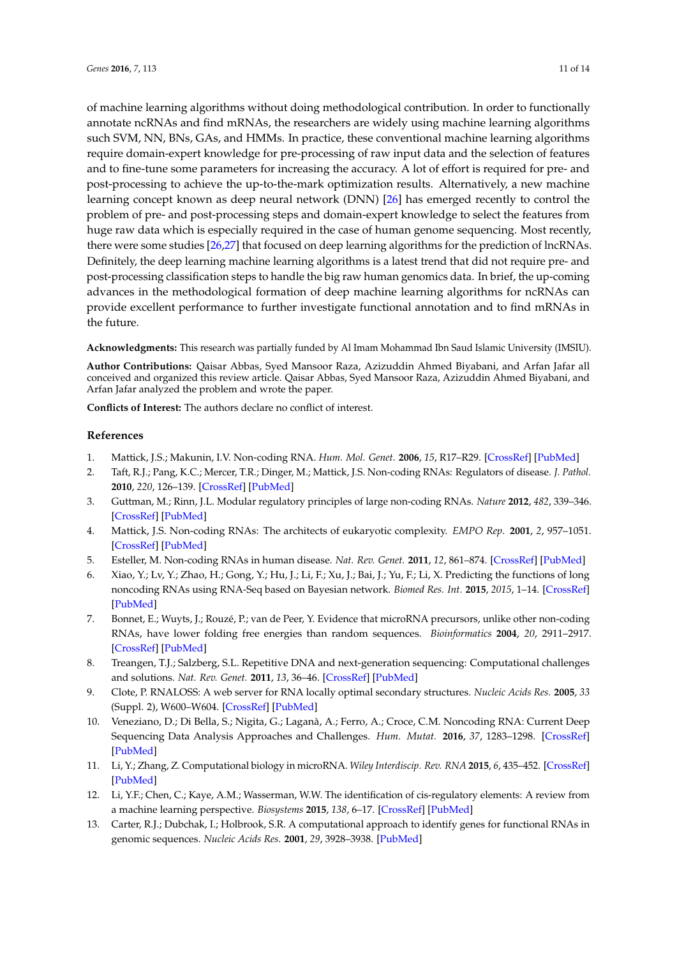of machine learning algorithms without doing methodological contribution. In order to functionally annotate ncRNAs and find mRNAs, the researchers are widely using machine learning algorithms such SVM, NN, BNs, GAs, and HMMs. In practice, these conventional machine learning algorithms require domain-expert knowledge for pre-processing of raw input data and the selection of features and to fine-tune some parameters for increasing the accuracy. A lot of effort is required for pre- and post-processing to achieve the up-to-the-mark optimization results. Alternatively, a new machine learning concept known as deep neural network (DNN) [\[26\]](#page-11-26) has emerged recently to control the problem of pre- and post-processing steps and domain-expert knowledge to select the features from huge raw data which is especially required in the case of human genome sequencing. Most recently, there were some studies [\[26](#page-11-26)[,27\]](#page-11-33) that focused on deep learning algorithms for the prediction of lncRNAs. Definitely, the deep learning machine learning algorithms is a latest trend that did not require pre- and post-processing classification steps to handle the big raw human genomics data. In brief, the up-coming advances in the methodological formation of deep machine learning algorithms for ncRNAs can provide excellent performance to further investigate functional annotation and to find mRNAs in the future.

**Acknowledgments:** This research was partially funded by Al Imam Mohammad Ibn Saud Islamic University (IMSIU).

**Author Contributions:** Qaisar Abbas, Syed Mansoor Raza, Azizuddin Ahmed Biyabani, and Arfan Jafar all conceived and organized this review article. Qaisar Abbas, Syed Mansoor Raza, Azizuddin Ahmed Biyabani, and Arfan Jafar analyzed the problem and wrote the paper.

**Conflicts of Interest:** The authors declare no conflict of interest.

## **References**

- <span id="page-10-0"></span>1. Mattick, J.S.; Makunin, I.V. Non-coding RNA. *Hum. Mol. Genet.* **2006**, *15*, R17–R29. [\[CrossRef\]](http://dx.doi.org/10.1093/hmg/ddl046) [\[PubMed\]](http://www.ncbi.nlm.nih.gov/pubmed/16651366)
- <span id="page-10-1"></span>2. Taft, R.J.; Pang, K.C.; Mercer, T.R.; Dinger, M.; Mattick, J.S. Non-coding RNAs: Regulators of disease. *J. Pathol.* **2010**, *220*, 126–139. [\[CrossRef\]](http://dx.doi.org/10.1002/path.2638) [\[PubMed\]](http://www.ncbi.nlm.nih.gov/pubmed/19882673)
- <span id="page-10-2"></span>3. Guttman, M.; Rinn, J.L. Modular regulatory principles of large non-coding RNAs. *Nature* **2012**, *482*, 339–346. [\[CrossRef\]](http://dx.doi.org/10.1038/nature10887) [\[PubMed\]](http://www.ncbi.nlm.nih.gov/pubmed/22337053)
- <span id="page-10-13"></span><span id="page-10-3"></span>4. Mattick, J.S. Non-coding RNAs: The architects of eukaryotic complexity. *EMPO Rep.* **2001**, *2*, 957–1051. [\[CrossRef\]](http://dx.doi.org/10.1093/embo-reports/kve230) [\[PubMed\]](http://www.ncbi.nlm.nih.gov/pubmed/11713189)
- <span id="page-10-4"></span>5. Esteller, M. Non-coding RNAs in human disease. *Nat. Rev. Genet.* **2011**, *12*, 861–874. [\[CrossRef\]](http://dx.doi.org/10.1038/nrg3074) [\[PubMed\]](http://www.ncbi.nlm.nih.gov/pubmed/22094949)
- <span id="page-10-5"></span>6. Xiao, Y.; Lv, Y.; Zhao, H.; Gong, Y.; Hu, J.; Li, F.; Xu, J.; Bai, J.; Yu, F.; Li, X. Predicting the functions of long noncoding RNAs using RNA-Seq based on Bayesian network. *Biomed Res. Int.* **2015**, *2015*, 1–14. [\[CrossRef\]](http://dx.doi.org/10.1155/2015/839590) [\[PubMed\]](http://www.ncbi.nlm.nih.gov/pubmed/25815337)
- <span id="page-10-6"></span>7. Bonnet, E.; Wuyts, J.; Rouzé, P.; van de Peer, Y. Evidence that microRNA precursors, unlike other non-coding RNAs, have lower folding free energies than random sequences. *Bioinformatics* **2004**, *20*, 2911–2917. [\[CrossRef\]](http://dx.doi.org/10.1093/bioinformatics/bth374) [\[PubMed\]](http://www.ncbi.nlm.nih.gov/pubmed/15217813)
- <span id="page-10-7"></span>8. Treangen, T.J.; Salzberg, S.L. Repetitive DNA and next-generation sequencing: Computational challenges and solutions. *Nat. Rev. Genet.* **2011**, *13*, 36–46. [\[CrossRef\]](http://dx.doi.org/10.1038/nrg3117) [\[PubMed\]](http://www.ncbi.nlm.nih.gov/pubmed/22124482)
- <span id="page-10-8"></span>9. Clote, P. RNALOSS: A web server for RNA locally optimal secondary structures. *Nucleic Acids Res.* **2005**, *33* (Suppl. 2), W600–W604. [\[CrossRef\]](http://dx.doi.org/10.1093/nar/gki382) [\[PubMed\]](http://www.ncbi.nlm.nih.gov/pubmed/15980545)
- <span id="page-10-9"></span>10. Veneziano, D.; Di Bella, S.; Nigita, G.; Laganà, A.; Ferro, A.; Croce, C.M. Noncoding RNA: Current Deep Sequencing Data Analysis Approaches and Challenges. *Hum. Mutat.* **2016**, *37*, 1283–1298. [\[CrossRef\]](http://dx.doi.org/10.1002/humu.23066) [\[PubMed\]](http://www.ncbi.nlm.nih.gov/pubmed/27516218)
- <span id="page-10-10"></span>11. Li, Y.; Zhang, Z. Computational biology in microRNA. *Wiley Interdiscip. Rev. RNA* **2015**, *6*, 435–452. [\[CrossRef\]](http://dx.doi.org/10.1002/wrna.1286) [\[PubMed\]](http://www.ncbi.nlm.nih.gov/pubmed/25914300)
- <span id="page-10-11"></span>12. Li, Y.F.; Chen, C.; Kaye, A.M.; Wasserman, W.W. The identification of cis-regulatory elements: A review from a machine learning perspective. *Biosystems* **2015**, *138*, 6–17. [\[CrossRef\]](http://dx.doi.org/10.1016/j.biosystems.2015.10.002) [\[PubMed\]](http://www.ncbi.nlm.nih.gov/pubmed/26499213)
- <span id="page-10-12"></span>13. Carter, R.J.; Dubchak, I.; Holbrook, S.R. A computational approach to identify genes for functional RNAs in genomic sequences. *Nucleic Acids Res.* **2001**, *29*, 3928–3938. [\[PubMed\]](http://www.ncbi.nlm.nih.gov/pubmed/11574674)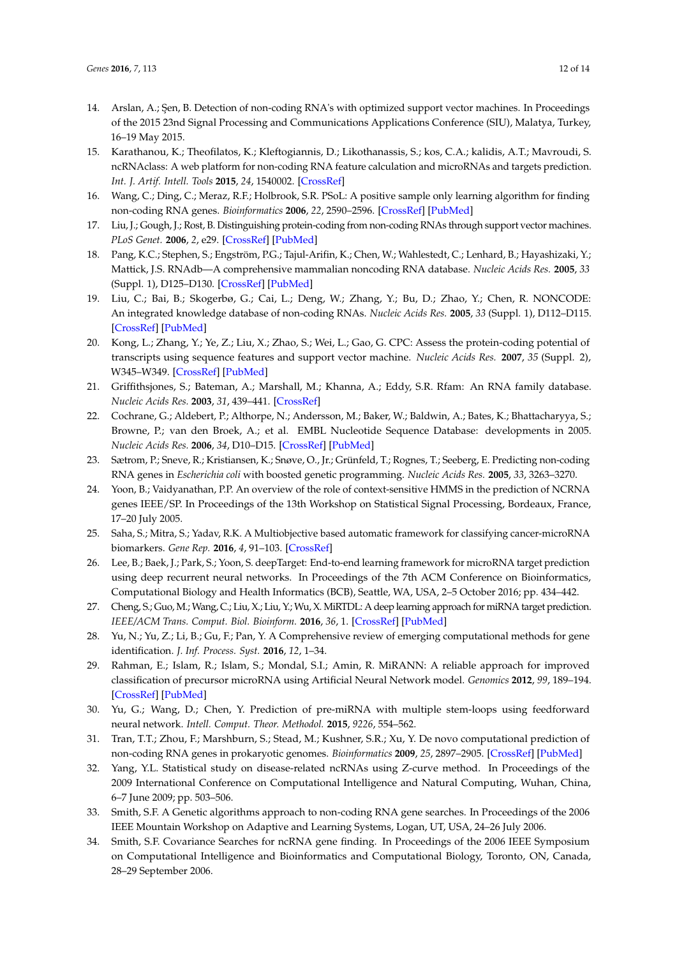- <span id="page-11-24"></span><span id="page-11-15"></span><span id="page-11-14"></span><span id="page-11-13"></span><span id="page-11-12"></span><span id="page-11-11"></span><span id="page-11-0"></span>14. Arslan, A.; Şen, B. Detection of non-coding RNA's with optimized support vector machines. In Proceedings of the 2015 23nd Signal Processing and Communications Applications Conference (SIU), Malatya, Turkey, 16–19 May 2015.
- <span id="page-11-1"></span>15. Karathanou, K.; Theofilatos, K.; Kleftogiannis, D.; Likothanassis, S.; kos, C.A.; kalidis, A.T.; Mavroudi, S. ncRNAclass: A web platform for non-coding RNA feature calculation and microRNAs and targets prediction. *Int. J. Artif. Intell. Tools* **2015**, *24*, 1540002. [\[CrossRef\]](http://dx.doi.org/10.1142/S0218213015400023)
- <span id="page-11-16"></span><span id="page-11-2"></span>16. Wang, C.; Ding, C.; Meraz, R.F.; Holbrook, S.R. PSoL: A positive sample only learning algorithm for finding non-coding RNA genes. *Bioinformatics* **2006**, *22*, 2590–2596. [\[CrossRef\]](http://dx.doi.org/10.1093/bioinformatics/btl441) [\[PubMed\]](http://www.ncbi.nlm.nih.gov/pubmed/16945945)
- <span id="page-11-3"></span>17. Liu, J.; Gough, J.; Rost, B. Distinguishing protein-coding from non-coding RNAs through support vector machines. *PLoS Genet.* **2006**, *2*, e29. [\[CrossRef\]](http://dx.doi.org/10.1371/journal.pgen.0020029) [\[PubMed\]](http://www.ncbi.nlm.nih.gov/pubmed/16683024)
- <span id="page-11-18"></span><span id="page-11-17"></span><span id="page-11-4"></span>18. Pang, K.C.; Stephen, S.; Engström, P.G.; Tajul-Arifin, K.; Chen, W.; Wahlestedt, C.; Lenhard, B.; Hayashizaki, Y.; Mattick, J.S. RNAdb—A comprehensive mammalian noncoding RNA database. *Nucleic Acids Res.* **2005**, *33* (Suppl. 1), D125–D130. [\[CrossRef\]](http://dx.doi.org/10.1093/nar/gki089) [\[PubMed\]](http://www.ncbi.nlm.nih.gov/pubmed/15608161)
- <span id="page-11-19"></span><span id="page-11-5"></span>19. Liu, C.; Bai, B.; Skogerbø, G.; Cai, L.; Deng, W.; Zhang, Y.; Bu, D.; Zhao, Y.; Chen, R. NONCODE: An integrated knowledge database of non-coding RNAs. *Nucleic Acids Res.* **2005**, *33* (Suppl. 1), D112–D115. [\[CrossRef\]](http://dx.doi.org/10.1093/nar/gki041) [\[PubMed\]](http://www.ncbi.nlm.nih.gov/pubmed/15608158)
- <span id="page-11-20"></span><span id="page-11-6"></span>20. Kong, L.; Zhang, Y.; Ye, Z.; Liu, X.; Zhao, S.; Wei, L.; Gao, G. CPC: Assess the protein-coding potential of transcripts using sequence features and support vector machine. *Nucleic Acids Res.* **2007**, *35* (Suppl. 2), W345–W349. [\[CrossRef\]](http://dx.doi.org/10.1093/nar/gkm391) [\[PubMed\]](http://www.ncbi.nlm.nih.gov/pubmed/17631615)
- <span id="page-11-7"></span>21. Griffithsjones, S.; Bateman, A.; Marshall, M.; Khanna, A.; Eddy, S.R. Rfam: An RNA family database. *Nucleic Acids Res.* **2003**, *31*, 439–441. [\[CrossRef\]](http://dx.doi.org/10.1093/nar/gkg006)
- <span id="page-11-21"></span><span id="page-11-8"></span>22. Cochrane, G.; Aldebert, P.; Althorpe, N.; Andersson, M.; Baker, W.; Baldwin, A.; Bates, K.; Bhattacharyya, S.; Browne, P.; van den Broek, A.; et al. EMBL Nucleotide Sequence Database: developments in 2005. *Nucleic Acids Res.* **2006**, *34*, D10–D15. [\[CrossRef\]](http://dx.doi.org/10.1093/nar/gkj130) [\[PubMed\]](http://www.ncbi.nlm.nih.gov/pubmed/16381823)
- <span id="page-11-22"></span><span id="page-11-9"></span>23. Sætrom, P.; Sneve, R.; Kristiansen, K.; Snøve, O., Jr.; Grünfeld, T.; Rognes, T.; Seeberg, E. Predicting non-coding RNA genes in *Escherichia coli* with boosted genetic programming. *Nucleic Acids Res.* **2005**, *33*, 3263–3270.
- <span id="page-11-23"></span><span id="page-11-10"></span>24. Yoon, B.; Vaidyanathan, P.P. An overview of the role of context-sensitive HMMS in the prediction of NCRNA genes IEEE/SP. In Proceedings of the 13th Workshop on Statistical Signal Processing, Bordeaux, France, 17–20 July 2005.
- <span id="page-11-25"></span>25. Saha, S.; Mitra, S.; Yadav, R.K. A Multiobjective based automatic framework for classifying cancer-microRNA biomarkers. *Gene Rep.* **2016**, *4*, 91–103. [\[CrossRef\]](http://dx.doi.org/10.1016/j.genrep.2016.04.001)
- <span id="page-11-26"></span>26. Lee, B.; Baek, J.; Park, S.; Yoon, S. deepTarget: End-to-end learning framework for microRNA target prediction using deep recurrent neural networks. In Proceedings of the 7th ACM Conference on Bioinformatics, Computational Biology and Health Informatics (BCB), Seattle, WA, USA, 2–5 October 2016; pp. 434–442.
- <span id="page-11-33"></span>27. Cheng, S.; Guo, M.; Wang, C.; Liu, X.; Liu, Y.; Wu, X. MiRTDL: A deep learning approach for miRNA target prediction. *IEEE/ACM Trans. Comput. Biol. Bioinform.* **2016**, *36*, 1. [\[CrossRef\]](http://dx.doi.org/10.1109/TCBB.2016.2570211) [\[PubMed\]](http://www.ncbi.nlm.nih.gov/pubmed/27214908)
- <span id="page-11-34"></span>28. Yu, N.; Yu, Z.; Li, B.; Gu, F.; Pan, Y. A Comprehensive review of emerging computational methods for gene identification. *J. Inf. Process. Syst.* **2016**, *12*, 1–34.
- <span id="page-11-31"></span>29. Rahman, E.; Islam, R.; Islam, S.; Mondal, S.I.; Amin, R. MiRANN: A reliable approach for improved classification of precursor microRNA using Artificial Neural Network model. *Genomics* **2012**, *99*, 189–194. [\[CrossRef\]](http://dx.doi.org/10.1016/j.ygeno.2012.02.001) [\[PubMed\]](http://www.ncbi.nlm.nih.gov/pubmed/22349176)
- <span id="page-11-32"></span>30. Yu, G.; Wang, D.; Chen, Y. Prediction of pre-miRNA with multiple stem-loops using feedforward neural network. *Intell. Comput. Theor. Methodol.* **2015**, *9226*, 554–562.
- <span id="page-11-30"></span>31. Tran, T.T.; Zhou, F.; Marshburn, S.; Stead, M.; Kushner, S.R.; Xu, Y. De novo computational prediction of non-coding RNA genes in prokaryotic genomes. *Bioinformatics* **2009**, *25*, 2897–2905. [\[CrossRef\]](http://dx.doi.org/10.1093/bioinformatics/btp537) [\[PubMed\]](http://www.ncbi.nlm.nih.gov/pubmed/19744996)
- <span id="page-11-29"></span>32. Yang, Y.L. Statistical study on disease-related ncRNAs using Z-curve method. In Proceedings of the 2009 International Conference on Computational Intelligence and Natural Computing, Wuhan, China, 6–7 June 2009; pp. 503–506.
- <span id="page-11-27"></span>33. Smith, S.F. A Genetic algorithms approach to non-coding RNA gene searches. In Proceedings of the 2006 IEEE Mountain Workshop on Adaptive and Learning Systems, Logan, UT, USA, 24–26 July 2006.
- <span id="page-11-28"></span>34. Smith, S.F. Covariance Searches for ncRNA gene finding. In Proceedings of the 2006 IEEE Symposium on Computational Intelligence and Bioinformatics and Computational Biology, Toronto, ON, Canada, 28–29 September 2006.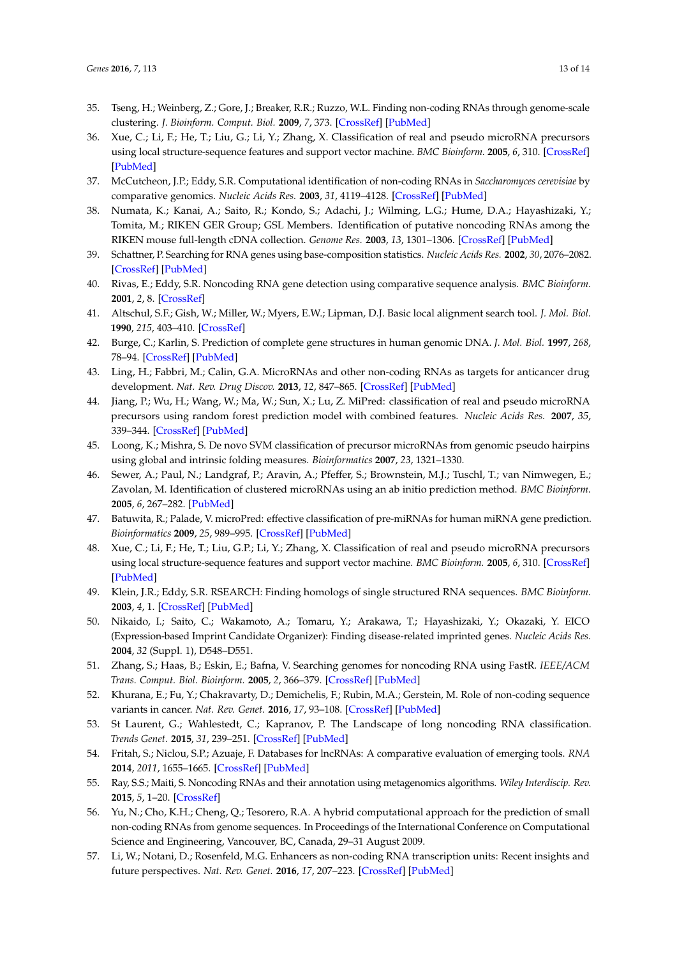- <span id="page-12-5"></span><span id="page-12-4"></span><span id="page-12-3"></span><span id="page-12-2"></span><span id="page-12-1"></span><span id="page-12-0"></span>35. Tseng, H.; Weinberg, Z.; Gore, J.; Breaker, R.R.; Ruzzo, W.L. Finding non-coding RNAs through genome-scale clustering. *J. Bioinform. Comput. Biol.* **2009**, *7*, 373. [\[CrossRef\]](http://dx.doi.org/10.1142/S0219720009004126) [\[PubMed\]](http://www.ncbi.nlm.nih.gov/pubmed/19340921)
- <span id="page-12-13"></span>36. Xue, C.; Li, F.; He, T.; Liu, G.; Li, Y.; Zhang, X. Classification of real and pseudo microRNA precursors using local structure-sequence features and support vector machine. *BMC Bioinform.* **2005**, *6*, 310. [\[CrossRef\]](http://dx.doi.org/10.1186/1471-2105-6-310) [\[PubMed\]](http://www.ncbi.nlm.nih.gov/pubmed/16381612)
- <span id="page-12-8"></span>37. McCutcheon, J.P.; Eddy, S.R. Computational identification of non-coding RNAs in *Saccharomyces cerevisiae* by comparative genomics. *Nucleic Acids Res.* **2003**, *31*, 4119–4128. [\[CrossRef\]](http://dx.doi.org/10.1093/nar/gkg438) [\[PubMed\]](http://www.ncbi.nlm.nih.gov/pubmed/12853629)
- <span id="page-12-9"></span>38. Numata, K.; Kanai, A.; Saito, R.; Kondo, S.; Adachi, J.; Wilming, L.G.; Hume, D.A.; Hayashizaki, Y.; Tomita, M.; RIKEN GER Group; GSL Members. Identification of putative noncoding RNAs among the RIKEN mouse full-length cDNA collection. *Genome Res.* **2003**, *13*, 1301–1306. [\[CrossRef\]](http://dx.doi.org/10.1101/gr.1011603) [\[PubMed\]](http://www.ncbi.nlm.nih.gov/pubmed/12819127)
- <span id="page-12-11"></span>39. Schattner, P. Searching for RNA genes using base-composition statistics. *Nucleic Acids Res.* **2002**, *30*, 2076–2082. [\[CrossRef\]](http://dx.doi.org/10.1093/nar/30.9.2076) [\[PubMed\]](http://www.ncbi.nlm.nih.gov/pubmed/11972348)
- <span id="page-12-6"></span>40. Rivas, E.; Eddy, S.R. Noncoding RNA gene detection using comparative sequence analysis. *BMC Bioinform.* **2001**, *2*, 8. [\[CrossRef\]](http://dx.doi.org/10.1186/1471-2105-2-8)
- <span id="page-12-7"></span>41. Altschul, S.F.; Gish, W.; Miller, W.; Myers, E.W.; Lipman, D.J. Basic local alignment search tool. *J. Mol. Biol.* **1990**, *215*, 403–410. [\[CrossRef\]](http://dx.doi.org/10.1016/S0022-2836(05)80360-2)
- <span id="page-12-10"></span>42. Burge, C.; Karlin, S. Prediction of complete gene structures in human genomic DNA. *J. Mol. Biol.* **1997**, *268*, 78–94. [\[CrossRef\]](http://dx.doi.org/10.1006/jmbi.1997.0951) [\[PubMed\]](http://www.ncbi.nlm.nih.gov/pubmed/9149143)
- <span id="page-12-12"></span>43. Ling, H.; Fabbri, M.; Calin, G.A. MicroRNAs and other non-coding RNAs as targets for anticancer drug development. *Nat. Rev. Drug Discov.* **2013**, *12*, 847–865. [\[CrossRef\]](http://dx.doi.org/10.1038/nrd4140) [\[PubMed\]](http://www.ncbi.nlm.nih.gov/pubmed/24172333)
- <span id="page-12-14"></span>44. Jiang, P.; Wu, H.; Wang, W.; Ma, W.; Sun, X.; Lu, Z. MiPred: classification of real and pseudo microRNA precursors using random forest prediction model with combined features. *Nucleic Acids Res.* **2007**, *35*, 339–344. [\[CrossRef\]](http://dx.doi.org/10.1093/nar/gkm368) [\[PubMed\]](http://www.ncbi.nlm.nih.gov/pubmed/17553836)
- <span id="page-12-15"></span>45. Loong, K.; Mishra, S. De novo SVM classification of precursor microRNAs from genomic pseudo hairpins using global and intrinsic folding measures. *Bioinformatics* **2007**, *23*, 1321–1330.
- <span id="page-12-16"></span>46. Sewer, A.; Paul, N.; Landgraf, P.; Aravin, A.; Pfeffer, S.; Brownstein, M.J.; Tuschl, T.; van Nimwegen, E.; Zavolan, M. Identification of clustered microRNAs using an ab initio prediction method. *BMC Bioinform.* **2005**, *6*, 267–282. [\[PubMed\]](http://www.ncbi.nlm.nih.gov/pubmed/16274478)
- <span id="page-12-17"></span>47. Batuwita, R.; Palade, V. microPred: effective classification of pre-miRNAs for human miRNA gene prediction. *Bioinformatics* **2009**, *25*, 989–995. [\[CrossRef\]](http://dx.doi.org/10.1093/bioinformatics/btp107) [\[PubMed\]](http://www.ncbi.nlm.nih.gov/pubmed/19233894)
- <span id="page-12-18"></span>48. Xue, C.; Li, F.; He, T.; Liu, G.P.; Li, Y.; Zhang, X. Classification of real and pseudo microRNA precursors using local structure-sequence features and support vector machine. *BMC Bioinform.* **2005**, *6*, 310. [\[CrossRef\]](http://dx.doi.org/10.1186/1471-2105-6-310) [\[PubMed\]](http://www.ncbi.nlm.nih.gov/pubmed/16381612)
- <span id="page-12-19"></span>49. Klein, J.R.; Eddy, S.R. RSEARCH: Finding homologs of single structured RNA sequences. *BMC Bioinform.* **2003**, *4*, 1. [\[CrossRef\]](http://dx.doi.org/10.1186/1471-2105-4-44) [\[PubMed\]](http://www.ncbi.nlm.nih.gov/pubmed/14499004)
- <span id="page-12-20"></span>50. Nikaido, I.; Saito, C.; Wakamoto, A.; Tomaru, Y.; Arakawa, T.; Hayashizaki, Y.; Okazaki, Y. EICO (Expression-based Imprint Candidate Organizer): Finding disease-related imprinted genes. *Nucleic Acids Res.* **2004**, *32* (Suppl. 1), D548–D551.
- <span id="page-12-21"></span>51. Zhang, S.; Haas, B.; Eskin, E.; Bafna, V. Searching genomes for noncoding RNA using FastR. *IEEE/ACM Trans. Comput. Biol. Bioinform.* **2005**, *2*, 366–379. [\[CrossRef\]](http://dx.doi.org/10.1109/TCBB.2005.57) [\[PubMed\]](http://www.ncbi.nlm.nih.gov/pubmed/17044173)
- <span id="page-12-22"></span>52. Khurana, E.; Fu, Y.; Chakravarty, D.; Demichelis, F.; Rubin, M.A.; Gerstein, M. Role of non-coding sequence variants in cancer. *Nat. Rev. Genet.* **2016**, *17*, 93–108. [\[CrossRef\]](http://dx.doi.org/10.1038/nrg.2015.17) [\[PubMed\]](http://www.ncbi.nlm.nih.gov/pubmed/26781813)
- <span id="page-12-23"></span>53. St Laurent, G.; Wahlestedt, C.; Kapranov, P. The Landscape of long noncoding RNA classification. *Trends Genet.* **2015**, *31*, 239–251. [\[CrossRef\]](http://dx.doi.org/10.1016/j.tig.2015.03.007) [\[PubMed\]](http://www.ncbi.nlm.nih.gov/pubmed/25869999)
- <span id="page-12-24"></span>54. Fritah, S.; Niclou, S.P.; Azuaje, F. Databases for lncRNAs: A comparative evaluation of emerging tools. *RNA* **2014**, *2011*, 1655–1665. [\[CrossRef\]](http://dx.doi.org/10.1261/rna.044040.113) [\[PubMed\]](http://www.ncbi.nlm.nih.gov/pubmed/25323317)
- <span id="page-12-25"></span>55. Ray, S.S.; Maiti, S. Noncoding RNAs and their annotation using metagenomics algorithms. *Wiley Interdiscip. Rev.* **2015**, *5*, 1–20. [\[CrossRef\]](http://dx.doi.org/10.1002/widm.1142)
- <span id="page-12-26"></span>56. Yu, N.; Cho, K.H.; Cheng, Q.; Tesorero, R.A. A hybrid computational approach for the prediction of small non-coding RNAs from genome sequences. In Proceedings of the International Conference on Computational Science and Engineering, Vancouver, BC, Canada, 29–31 August 2009.
- <span id="page-12-27"></span>57. Li, W.; Notani, D.; Rosenfeld, M.G. Enhancers as non-coding RNA transcription units: Recent insights and future perspectives. *Nat. Rev. Genet.* **2016**, *17*, 207–223. [\[CrossRef\]](http://dx.doi.org/10.1038/nrg.2016.4) [\[PubMed\]](http://www.ncbi.nlm.nih.gov/pubmed/26948815)